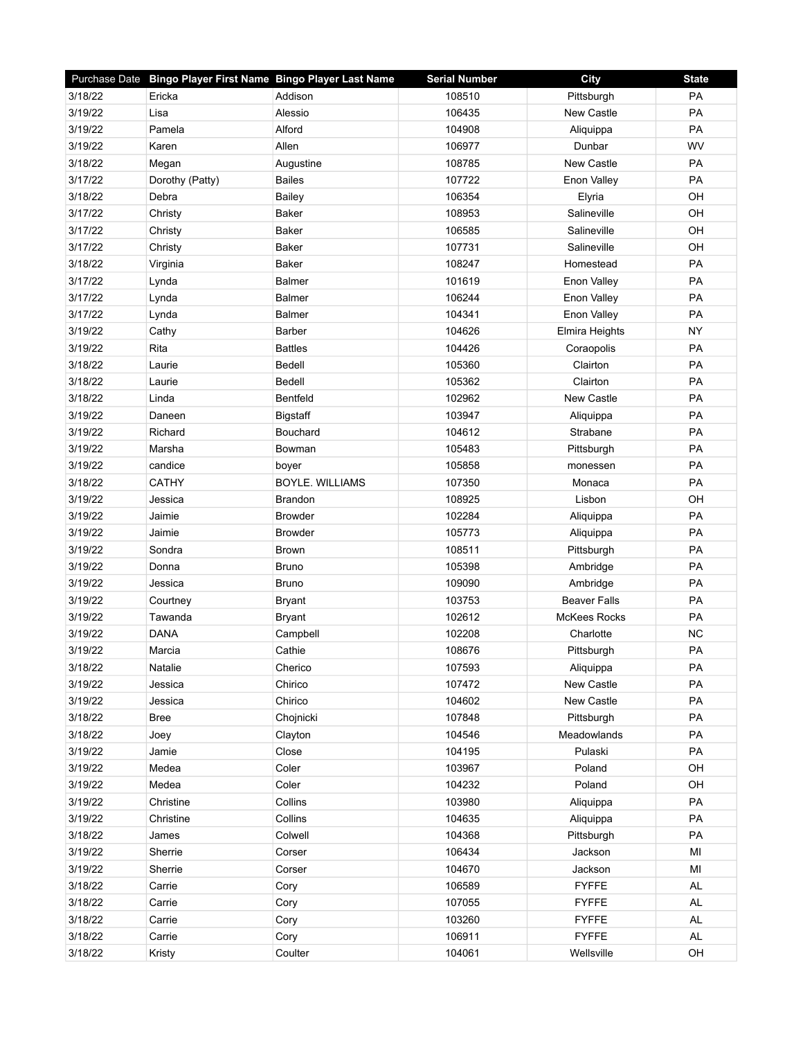|         | Purchase Date Bingo Player First Name Bingo Player Last Name |                        | <b>Serial Number</b> | City                | <b>State</b> |
|---------|--------------------------------------------------------------|------------------------|----------------------|---------------------|--------------|
| 3/18/22 | Ericka                                                       | Addison                | 108510               | Pittsburgh          | PA           |
| 3/19/22 | Lisa                                                         | Alessio                | 106435               | <b>New Castle</b>   | PA           |
| 3/19/22 | Pamela                                                       | Alford                 | 104908               | Aliquippa           | PA           |
| 3/19/22 | Karen                                                        | Allen                  | 106977               | Dunbar              | WV           |
| 3/18/22 | Megan                                                        | Augustine              | 108785               | <b>New Castle</b>   | PA           |
| 3/17/22 | Dorothy (Patty)                                              | <b>Bailes</b>          | 107722               | Enon Valley         | PA           |
| 3/18/22 | Debra                                                        | <b>Bailey</b>          | 106354               | Elyria              | OH           |
| 3/17/22 | Christy                                                      | Baker                  | 108953               | Salineville         | OH           |
| 3/17/22 | Christy                                                      | Baker                  | 106585               | Salineville         | OH           |
| 3/17/22 | Christy                                                      | Baker                  | 107731               | Salineville         | OH           |
| 3/18/22 | Virginia                                                     | Baker                  | 108247               | Homestead           | PA           |
| 3/17/22 | Lynda                                                        | <b>Balmer</b>          | 101619               | Enon Valley         | PA           |
| 3/17/22 | Lynda                                                        | <b>Balmer</b>          | 106244               | Enon Valley         | PA           |
| 3/17/22 | Lynda                                                        | <b>Balmer</b>          | 104341               | Enon Valley         | PA           |
| 3/19/22 | Cathy                                                        | <b>Barber</b>          | 104626               | Elmira Heights      | <b>NY</b>    |
| 3/19/22 | Rita                                                         | <b>Battles</b>         | 104426               | Coraopolis          | PA           |
| 3/18/22 | Laurie                                                       | Bedell                 | 105360               | Clairton            | PA           |
| 3/18/22 | Laurie                                                       | Bedell                 | 105362               | Clairton            | PA           |
| 3/18/22 | Linda                                                        | Bentfeld               | 102962               | New Castle          | <b>PA</b>    |
| 3/19/22 | Daneen                                                       | <b>Bigstaff</b>        | 103947               | Aliquippa           | PA           |
| 3/19/22 | Richard                                                      | <b>Bouchard</b>        | 104612               | Strabane            | PA           |
| 3/19/22 | Marsha                                                       | Bowman                 | 105483               | Pittsburgh          | PA           |
| 3/19/22 | candice                                                      | boyer                  | 105858               | monessen            | PA           |
| 3/18/22 | <b>CATHY</b>                                                 | <b>BOYLE. WILLIAMS</b> | 107350               | Monaca              | PA           |
| 3/19/22 | Jessica                                                      | <b>Brandon</b>         | 108925               | Lisbon              | OH           |
| 3/19/22 | Jaimie                                                       | <b>Browder</b>         | 102284               | Aliquippa           | PA           |
| 3/19/22 | Jaimie                                                       | <b>Browder</b>         | 105773               | Aliquippa           | PA           |
| 3/19/22 | Sondra                                                       | Brown                  | 108511               | Pittsburgh          | PA           |
| 3/19/22 | Donna                                                        | <b>Bruno</b>           | 105398               | Ambridge            | PA           |
| 3/19/22 | Jessica                                                      | <b>Bruno</b>           | 109090               | Ambridge            | <b>PA</b>    |
| 3/19/22 | Courtney                                                     | <b>Bryant</b>          | 103753               | <b>Beaver Falls</b> | PA           |
| 3/19/22 | Tawanda                                                      | <b>Bryant</b>          | 102612               | <b>McKees Rocks</b> | PA           |
| 3/19/22 | <b>DANA</b>                                                  | Campbell               | 102208               | Charlotte           | <b>NC</b>    |
| 3/19/22 | Marcia                                                       | Cathie                 | 108676               | Pittsburgh          | PA           |
| 3/18/22 | Natalie                                                      | Cherico                | 107593               | Aliquippa           | PA           |
| 3/19/22 | Jessica                                                      | Chirico                | 107472               | New Castle          | PA           |
| 3/19/22 | Jessica                                                      | Chirico                | 104602               | New Castle          | PA           |
| 3/18/22 | <b>Bree</b>                                                  | Chojnicki              | 107848               | Pittsburgh          | PA           |
| 3/18/22 | Joey                                                         | Clayton                | 104546               | Meadowlands         | PA           |
| 3/19/22 | Jamie                                                        | Close                  | 104195               | Pulaski             | PA           |
| 3/19/22 | Medea                                                        | Coler                  | 103967               | Poland              | OH           |
| 3/19/22 | Medea                                                        | Coler                  | 104232               | Poland              | OH           |
| 3/19/22 | Christine                                                    | Collins                | 103980               | Aliquippa           | PA           |
| 3/19/22 | Christine                                                    | Collins                | 104635               | Aliquippa           | PA           |
| 3/18/22 | James                                                        | Colwell                | 104368               | Pittsburgh          | PA           |
| 3/19/22 | Sherrie                                                      | Corser                 | 106434               | Jackson             | MI           |
| 3/19/22 | Sherrie                                                      | Corser                 | 104670               | Jackson             | MI           |
| 3/18/22 | Carrie                                                       | Cory                   | 106589               | <b>FYFFE</b>        | AL           |
| 3/18/22 | Carrie                                                       | Cory                   | 107055               | <b>FYFFE</b>        | AL           |
| 3/18/22 | Carrie                                                       | Cory                   | 103260               | <b>FYFFE</b>        | <b>AL</b>    |
| 3/18/22 | Carrie                                                       | Cory                   | 106911               | <b>FYFFE</b>        | AL           |
| 3/18/22 | Kristy                                                       | Coulter                | 104061               | Wellsville          | OH           |
|         |                                                              |                        |                      |                     |              |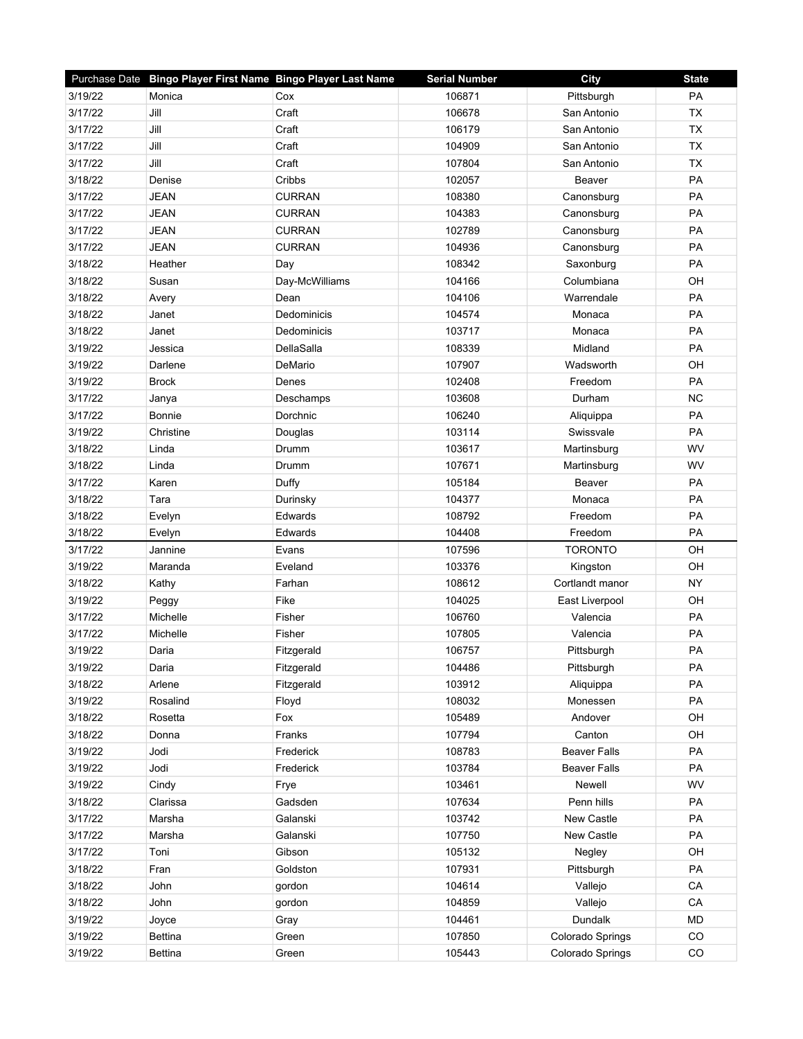|         | Purchase Date Bingo Player First Name Bingo Player Last Name |                 | <b>Serial Number</b> | City                | <b>State</b> |
|---------|--------------------------------------------------------------|-----------------|----------------------|---------------------|--------------|
| 3/19/22 | Monica                                                       | Cox             | 106871               | Pittsburgh          | PA           |
| 3/17/22 | Jill                                                         | Craft           | 106678               | San Antonio         | <b>TX</b>    |
| 3/17/22 | Jill                                                         | Craft           | 106179               | San Antonio         | TX           |
| 3/17/22 | Jill                                                         | Craft           | 104909               | San Antonio         | <b>TX</b>    |
| 3/17/22 | Jill                                                         | Craft           | 107804               | San Antonio         | <b>TX</b>    |
| 3/18/22 | Denise                                                       | Cribbs          | 102057               | Beaver              | PA           |
| 3/17/22 | <b>JEAN</b>                                                  | <b>CURRAN</b>   | 108380               | Canonsburg          | PA           |
| 3/17/22 | <b>JEAN</b>                                                  | <b>CURRAN</b>   | 104383               | Canonsburg          | PA           |
| 3/17/22 | <b>JEAN</b>                                                  | <b>CURRAN</b>   | 102789               | Canonsburg          | PA           |
| 3/17/22 | <b>JEAN</b>                                                  | <b>CURRAN</b>   | 104936               | Canonsburg          | PA           |
| 3/18/22 | Heather                                                      | Day             | 108342               | Saxonburg           | PA           |
| 3/18/22 | Susan                                                        | Day-McWilliams  | 104166               | Columbiana          | OH           |
| 3/18/22 | Avery                                                        | Dean            | 104106               | Warrendale          | PA           |
| 3/18/22 | Janet                                                        | Dedominicis     | 104574               | Monaca              | PA           |
| 3/18/22 | Janet                                                        | Dedominicis     | 103717               | Monaca              | PA           |
| 3/19/22 | Jessica                                                      | DellaSalla      | 108339               | Midland             | PA           |
| 3/19/22 | Darlene                                                      | DeMario         | 107907               | Wadsworth           | OH           |
| 3/19/22 | <b>Brock</b>                                                 | Denes           | 102408               | Freedom             | PA           |
| 3/17/22 | Janya                                                        | Deschamps       | 103608               | Durham              | <b>NC</b>    |
| 3/17/22 | Bonnie                                                       | Dorchnic        | 106240               | Aliquippa           | PA           |
| 3/19/22 | Christine                                                    | Douglas         | 103114               | Swissvale           | PA           |
| 3/18/22 | Linda                                                        | Drumm           | 103617               | Martinsburg         | WV           |
| 3/18/22 | Linda                                                        | Drumm           | 107671               | Martinsburg         | WV           |
| 3/17/22 | Karen                                                        | Duffy           | 105184               | Beaver              | PA           |
| 3/18/22 | Tara                                                         | Durinsky        | 104377               | Monaca              | PA           |
| 3/18/22 | Evelyn                                                       | Edwards         | 108792               | Freedom             | PA           |
| 3/18/22 | Evelyn                                                       | Edwards         | 104408               | Freedom             | PA           |
| 3/17/22 | Jannine                                                      | Evans           | 107596               | <b>TORONTO</b>      | OH           |
| 3/19/22 | Maranda                                                      | Eveland         | 103376               | Kingston            | OH           |
| 3/18/22 | Kathy                                                        | Farhan          | 108612               | Cortlandt manor     | <b>NY</b>    |
| 3/19/22 | Peggy                                                        | Fike            | 104025               | East Liverpool      | OH           |
| 3/17/22 | Michelle                                                     | Fisher          | 106760               | Valencia            | PA           |
| 3/17/22 | Michelle                                                     | Fisher          | 107805               | Valencia            | PA           |
| 3/19/22 | Daria                                                        | Fitzgerald      | 106757               | Pittsburgh          | PA           |
| 3/19/22 | Daria                                                        | Fitzgerald      | 104486               | Pittsburgh          | PA           |
| 3/18/22 | Arlene                                                       | Fitzgerald      | 103912               | Aliquippa           | PA           |
| 3/19/22 | Rosalind                                                     | Floyd           | 108032               | Monessen            | PA           |
| 3/18/22 | Rosetta                                                      | Fox             | 105489               | Andover             | OH           |
| 3/18/22 | Donna                                                        | Franks          | 107794               | Canton              | OH           |
| 3/19/22 | Jodi                                                         | Frederick       | 108783               | <b>Beaver Falls</b> | PA           |
| 3/19/22 | Jodi                                                         | Frederick       | 103784               | <b>Beaver Falls</b> | PA           |
| 3/19/22 | Cindy                                                        |                 | 103461               | Newell              | WV           |
| 3/18/22 | Clarissa                                                     | Frye<br>Gadsden | 107634               | Penn hills          | PA           |
|         |                                                              |                 |                      |                     |              |
| 3/17/22 | Marsha                                                       | Galanski        | 103742               | New Castle          | PA<br>PA     |
| 3/17/22 | Marsha                                                       | Galanski        | 107750               | New Castle          | OH           |
| 3/17/22 | Toni                                                         | Gibson          | 105132               | Negley              | PA           |
| 3/18/22 | Fran                                                         | Goldston        | 107931               | Pittsburgh          |              |
| 3/18/22 | John                                                         | gordon          | 104614               | Vallejo             | CA           |
| 3/18/22 | John                                                         | gordon          | 104859               | Vallejo             | CA           |
| 3/19/22 | Joyce                                                        | Gray            | 104461               | Dundalk             | <b>MD</b>    |
| 3/19/22 | <b>Bettina</b>                                               | Green           | 107850               | Colorado Springs    | CO           |
| 3/19/22 | <b>Bettina</b>                                               | Green           | 105443               | Colorado Springs    | CO           |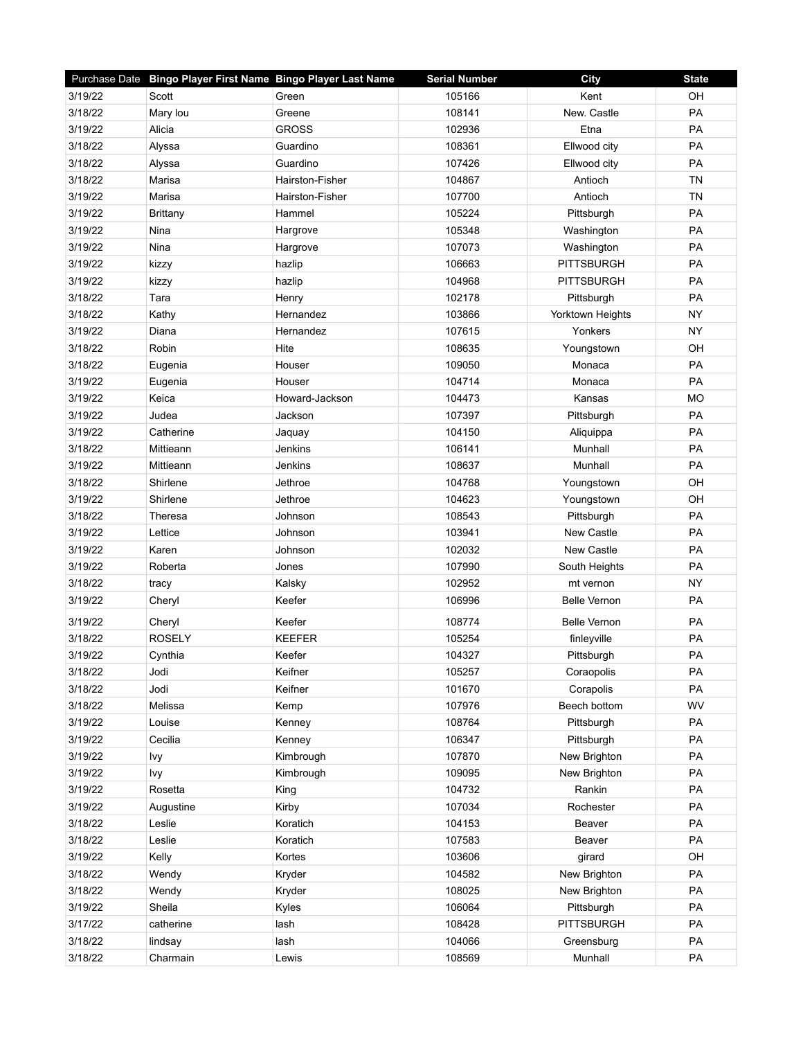|         | Purchase Date Bingo Player First Name Bingo Player Last Name |                 | <b>Serial Number</b> | <b>City</b>         | <b>State</b> |
|---------|--------------------------------------------------------------|-----------------|----------------------|---------------------|--------------|
| 3/19/22 | Scott                                                        | Green           | 105166               | Kent                | OH           |
| 3/18/22 | Mary lou                                                     | Greene          | 108141               | New. Castle         | PA           |
| 3/19/22 | Alicia                                                       | <b>GROSS</b>    | 102936               | Etna                | PA           |
| 3/18/22 | Alyssa                                                       | Guardino        | 108361               | Ellwood city        | PA           |
| 3/18/22 | Alyssa                                                       | Guardino        | 107426               | Ellwood city        | PA           |
| 3/18/22 | Marisa                                                       | Hairston-Fisher | 104867               | Antioch             | <b>TN</b>    |
| 3/19/22 | Marisa                                                       | Hairston-Fisher | 107700               | Antioch             | <b>TN</b>    |
| 3/19/22 | <b>Brittany</b>                                              | Hammel          | 105224               | Pittsburgh          | PA           |
| 3/19/22 | Nina                                                         | Hargrove        | 105348               | Washington          | PA           |
| 3/19/22 | Nina                                                         | Hargrove        | 107073               | Washington          | PA           |
| 3/19/22 | kizzy                                                        | hazlip          | 106663               | <b>PITTSBURGH</b>   | PA           |
| 3/19/22 | kizzy                                                        | hazlip          | 104968               | <b>PITTSBURGH</b>   | PA           |
| 3/18/22 | Tara                                                         | Henry           | 102178               | Pittsburgh          | PA           |
| 3/18/22 | Kathy                                                        | Hernandez       | 103866               | Yorktown Heights    | <b>NY</b>    |
| 3/19/22 | Diana                                                        | Hernandez       | 107615               | Yonkers             | <b>NY</b>    |
| 3/18/22 | Robin                                                        | Hite            | 108635               | Youngstown          | OH           |
| 3/18/22 | Eugenia                                                      | Houser          | 109050               | Monaca              | PA           |
| 3/19/22 | Eugenia                                                      | Houser          | 104714               | Monaca              | PA           |
| 3/19/22 | Keica                                                        | Howard-Jackson  | 104473               | Kansas              | <b>MO</b>    |
| 3/19/22 | Judea                                                        | Jackson         | 107397               | Pittsburgh          | PA           |
| 3/19/22 | Catherine                                                    | Jaquay          | 104150               | Aliquippa           | PA           |
| 3/18/22 | Mittieann                                                    | Jenkins         | 106141               | Munhall             | PA           |
| 3/19/22 | Mittieann                                                    | Jenkins         | 108637               | Munhall             | PA           |
| 3/18/22 | Shirlene                                                     | Jethroe         | 104768               | Youngstown          | OH           |
| 3/19/22 | Shirlene                                                     | Jethroe         | 104623               | Youngstown          | OH           |
| 3/18/22 | Theresa                                                      | Johnson         | 108543               | Pittsburgh          | PA           |
| 3/19/22 | Lettice                                                      | Johnson         | 103941               | <b>New Castle</b>   | PA           |
| 3/19/22 | Karen                                                        | Johnson         | 102032               | New Castle          | PA           |
| 3/19/22 | Roberta                                                      | Jones           | 107990               | South Heights       | PA           |
| 3/18/22 | tracy                                                        | Kalsky          | 102952               | mt vernon           | <b>NY</b>    |
| 3/19/22 | Cheryl                                                       | Keefer          | 106996               | <b>Belle Vernon</b> | PA           |
| 3/19/22 | Cheryl                                                       | Keefer          | 108774               | <b>Belle Vernon</b> | PA           |
| 3/18/22 | <b>ROSELY</b>                                                | <b>KEEFER</b>   | 105254               | finleyville         | PA           |
| 3/19/22 | Cynthia                                                      | Keefer          | 104327               | Pittsburgh          | PA           |
| 3/18/22 | Jodi                                                         | Keifner         | 105257               | Coraopolis          | PA           |
| 3/18/22 | Jodi                                                         | Keifner         | 101670               | Corapolis           | PA           |
| 3/18/22 | Melissa                                                      | Kemp            | 107976               | Beech bottom        | WV           |
| 3/19/22 | Louise                                                       | Kenney          | 108764               | Pittsburgh          | PA           |
| 3/19/22 | Cecilia                                                      | Kenney          | 106347               | Pittsburgh          | PA           |
| 3/19/22 | Ivy                                                          | Kimbrough       | 107870               | New Brighton        | PA           |
| 3/19/22 | Ivy                                                          | Kimbrough       | 109095               | New Brighton        | PA           |
| 3/19/22 | Rosetta                                                      | King            | 104732               | Rankin              | PA           |
| 3/19/22 | Augustine                                                    | Kirby           | 107034               | Rochester           | PA           |
| 3/18/22 | Leslie                                                       | Koratich        | 104153               | Beaver              | PA           |
| 3/18/22 | Leslie                                                       | Koratich        | 107583               | Beaver              | PA           |
| 3/19/22 | Kelly                                                        | Kortes          | 103606               | girard              | OH           |
| 3/18/22 | Wendy                                                        | Kryder          | 104582               | New Brighton        | PA           |
| 3/18/22 | Wendy                                                        | Kryder          | 108025               | New Brighton        | PA           |
| 3/19/22 | Sheila                                                       | Kyles           | 106064               | Pittsburgh          | PA           |
| 3/17/22 | catherine                                                    | lash            | 108428               | <b>PITTSBURGH</b>   | PA           |
| 3/18/22 | lindsay                                                      | lash            | 104066               | Greensburg          | PA           |
| 3/18/22 | Charmain                                                     | Lewis           | 108569               | Munhall             | PA           |
|         |                                                              |                 |                      |                     |              |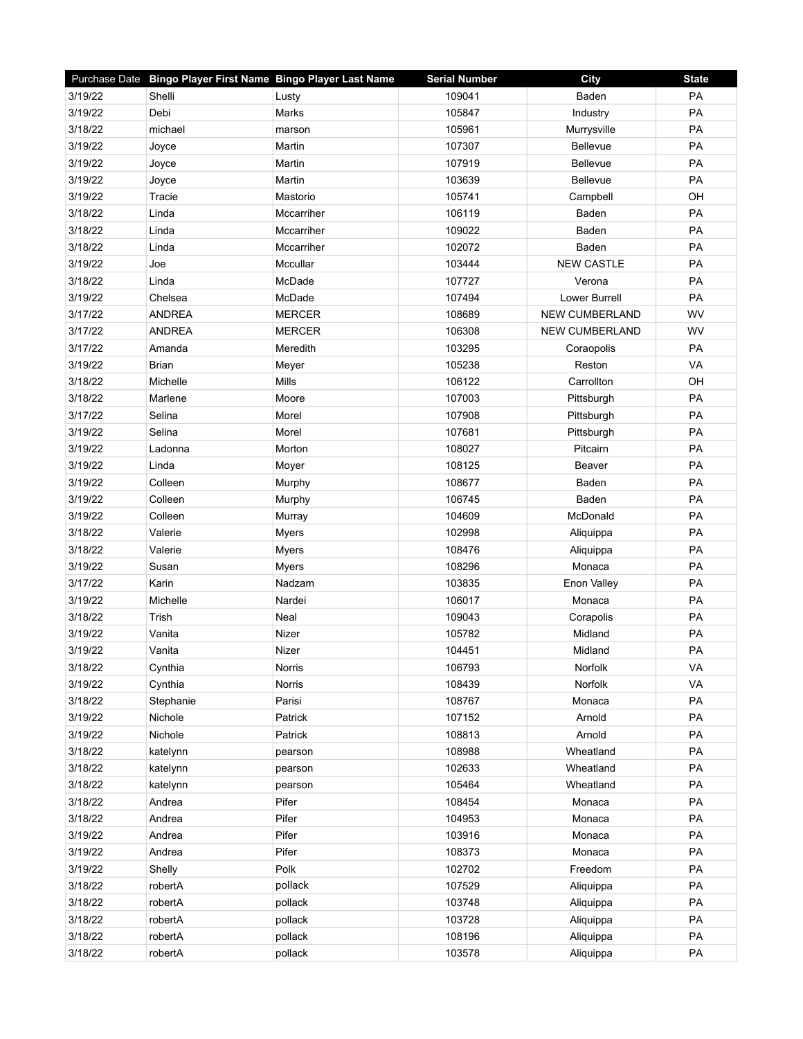| PA<br>3/19/22<br>109041<br>Shelli<br>Baden<br>Lusty<br>3/19/22<br>Debi<br>PA<br>Marks<br>105847<br>Industry<br>PA<br>3/18/22<br>105961<br>michael<br>Murrysville<br>marson<br>PA<br>3/19/22<br>107307<br>Joyce<br>Martin<br><b>Bellevue</b><br>PA<br>3/19/22<br><b>Bellevue</b><br>Martin<br>107919<br>Joyce<br>PA<br>3/19/22<br>103639<br>Bellevue<br>Martin<br>Joyce<br>OH<br>3/19/22<br>Tracie<br>105741<br>Campbell<br>Mastorio<br>3/18/22<br>106119<br>PA<br>Linda<br>Mccarriher<br>Baden<br>PA<br>3/18/22<br>Baden<br>Linda<br>Mccarriher<br>109022<br>3/18/22<br>102072<br>Baden<br>PA<br>Linda<br>Mccarriher<br>3/19/22<br>Joe<br><b>NEW CASTLE</b><br>PA<br>Mccullar<br>103444<br>PA<br>3/18/22<br>107727<br>Linda<br>McDade<br>Verona<br>PA<br>3/19/22<br>Chelsea<br>McDade<br>107494<br>Lower Burrell<br>WV<br>3/17/22<br>108689<br>NEW CUMBERLAND<br><b>ANDREA</b><br><b>MERCER</b><br>WV<br>3/17/22<br>106308<br><b>ANDREA</b><br><b>MERCER</b><br><b>NEW CUMBERLAND</b><br>PA<br>3/17/22<br>103295<br>Amanda<br>Meredith<br>Coraopolis<br>VA<br>3/19/22<br><b>Brian</b><br>105238<br>Meyer<br>Reston<br>3/18/22<br>Michelle<br>106122<br>OH<br>Mills<br>Carrollton<br>3/18/22<br>Moore<br>107003<br>PA<br>Marlene<br>Pittsburgh<br>PA<br>3/17/22<br>107908<br>Selina<br>Morel<br>Pittsburgh<br>3/19/22<br>Selina<br>PA<br>Morel<br>107681<br>Pittsburgh<br>PA<br>Pitcairn<br>3/19/22<br>Morton<br>108027<br>Ladonna<br>PA<br>3/19/22<br>108125<br>Beaver<br>Linda<br>Moyer<br>3/19/22<br>PA<br>Colleen<br>108677<br>Baden<br>Murphy<br>3/19/22<br>106745<br>PA<br>Colleen<br>Baden<br>Murphy<br>3/19/22<br>104609<br>McDonald<br>PA<br>Colleen<br>Murray<br>PA<br>3/18/22<br>102998<br>Valerie<br>Myers<br>Aliquippa<br>PA<br>3/18/22<br>Valerie<br>108476<br>Myers<br>Aliquippa<br>PA<br>3/19/22<br>108296<br>Susan<br>Monaca<br>Myers<br>PA<br>3/17/22<br>103835<br>Karin<br>Nadzam<br>Enon Valley<br>PA<br>3/19/22<br>Michelle<br>Nardei<br>106017<br>Monaca<br>3/18/22<br>109043<br>PA<br>Trish<br>Neal<br>Corapolis<br>3/19/22<br>105782<br>Midland<br>PA<br>Vanita<br>Nizer<br>3/19/22<br>104451<br>Midland<br>PA<br>Vanita<br>Nizer<br>VA<br>3/18/22<br>Cynthia<br>Norris<br>106793<br>Norfolk<br>3/19/22<br>108439<br>Norfolk<br>VA<br>Cynthia<br>Norris<br>3/18/22<br>108767<br>PA<br>Stephanie<br>Parisi<br>Monaca<br>3/19/22<br>107152<br>PA<br>Nichole<br>Patrick<br>Arnold<br>3/19/22<br>108813<br>Arnold<br>PA<br>Nichole<br>Patrick<br>3/18/22<br>108988<br>Wheatland<br>PA<br>katelynn<br>pearson<br>3/18/22<br>102633<br>PA<br>Wheatland<br>katelynn<br>pearson<br>PA<br>3/18/22<br>105464<br>Wheatland<br>katelynn<br>pearson<br>3/18/22<br>108454<br>PA<br>Andrea<br>Pifer<br>Monaca<br>PA<br>3/18/22<br>Pifer<br>104953<br>Monaca<br>Andrea<br>103916<br>PA<br>3/19/22<br>Pifer<br>Monaca<br>Andrea<br>108373<br>PA<br>3/19/22<br>Pifer<br>Monaca<br>Andrea<br>3/19/22<br>Polk<br>102702<br>PA<br>Shelly<br>Freedom<br>3/18/22<br>107529<br>PA<br>robertA<br>pollack<br>Aliquippa<br>PA<br>3/18/22<br>103748<br>robertA<br>pollack<br>Aliquippa<br>3/18/22<br>PA<br>103728<br>robertA<br>pollack<br>Aliquippa |         | Purchase Date Bingo Player First Name Bingo Player Last Name |         | <b>Serial Number</b> | City      | <b>State</b> |
|-------------------------------------------------------------------------------------------------------------------------------------------------------------------------------------------------------------------------------------------------------------------------------------------------------------------------------------------------------------------------------------------------------------------------------------------------------------------------------------------------------------------------------------------------------------------------------------------------------------------------------------------------------------------------------------------------------------------------------------------------------------------------------------------------------------------------------------------------------------------------------------------------------------------------------------------------------------------------------------------------------------------------------------------------------------------------------------------------------------------------------------------------------------------------------------------------------------------------------------------------------------------------------------------------------------------------------------------------------------------------------------------------------------------------------------------------------------------------------------------------------------------------------------------------------------------------------------------------------------------------------------------------------------------------------------------------------------------------------------------------------------------------------------------------------------------------------------------------------------------------------------------------------------------------------------------------------------------------------------------------------------------------------------------------------------------------------------------------------------------------------------------------------------------------------------------------------------------------------------------------------------------------------------------------------------------------------------------------------------------------------------------------------------------------------------------------------------------------------------------------------------------------------------------------------------------------------------------------------------------------------------------------------------------------------------------------------------------------------------------------------------------------------------------------------------------------------------------------------------------------------------------------------------------------------------------------------------------------------------------------------------------------------------------------------------------------------------------------------------------------------------------------|---------|--------------------------------------------------------------|---------|----------------------|-----------|--------------|
|                                                                                                                                                                                                                                                                                                                                                                                                                                                                                                                                                                                                                                                                                                                                                                                                                                                                                                                                                                                                                                                                                                                                                                                                                                                                                                                                                                                                                                                                                                                                                                                                                                                                                                                                                                                                                                                                                                                                                                                                                                                                                                                                                                                                                                                                                                                                                                                                                                                                                                                                                                                                                                                                                                                                                                                                                                                                                                                                                                                                                                                                                                                                                 |         |                                                              |         |                      |           |              |
|                                                                                                                                                                                                                                                                                                                                                                                                                                                                                                                                                                                                                                                                                                                                                                                                                                                                                                                                                                                                                                                                                                                                                                                                                                                                                                                                                                                                                                                                                                                                                                                                                                                                                                                                                                                                                                                                                                                                                                                                                                                                                                                                                                                                                                                                                                                                                                                                                                                                                                                                                                                                                                                                                                                                                                                                                                                                                                                                                                                                                                                                                                                                                 |         |                                                              |         |                      |           |              |
|                                                                                                                                                                                                                                                                                                                                                                                                                                                                                                                                                                                                                                                                                                                                                                                                                                                                                                                                                                                                                                                                                                                                                                                                                                                                                                                                                                                                                                                                                                                                                                                                                                                                                                                                                                                                                                                                                                                                                                                                                                                                                                                                                                                                                                                                                                                                                                                                                                                                                                                                                                                                                                                                                                                                                                                                                                                                                                                                                                                                                                                                                                                                                 |         |                                                              |         |                      |           |              |
|                                                                                                                                                                                                                                                                                                                                                                                                                                                                                                                                                                                                                                                                                                                                                                                                                                                                                                                                                                                                                                                                                                                                                                                                                                                                                                                                                                                                                                                                                                                                                                                                                                                                                                                                                                                                                                                                                                                                                                                                                                                                                                                                                                                                                                                                                                                                                                                                                                                                                                                                                                                                                                                                                                                                                                                                                                                                                                                                                                                                                                                                                                                                                 |         |                                                              |         |                      |           |              |
|                                                                                                                                                                                                                                                                                                                                                                                                                                                                                                                                                                                                                                                                                                                                                                                                                                                                                                                                                                                                                                                                                                                                                                                                                                                                                                                                                                                                                                                                                                                                                                                                                                                                                                                                                                                                                                                                                                                                                                                                                                                                                                                                                                                                                                                                                                                                                                                                                                                                                                                                                                                                                                                                                                                                                                                                                                                                                                                                                                                                                                                                                                                                                 |         |                                                              |         |                      |           |              |
|                                                                                                                                                                                                                                                                                                                                                                                                                                                                                                                                                                                                                                                                                                                                                                                                                                                                                                                                                                                                                                                                                                                                                                                                                                                                                                                                                                                                                                                                                                                                                                                                                                                                                                                                                                                                                                                                                                                                                                                                                                                                                                                                                                                                                                                                                                                                                                                                                                                                                                                                                                                                                                                                                                                                                                                                                                                                                                                                                                                                                                                                                                                                                 |         |                                                              |         |                      |           |              |
|                                                                                                                                                                                                                                                                                                                                                                                                                                                                                                                                                                                                                                                                                                                                                                                                                                                                                                                                                                                                                                                                                                                                                                                                                                                                                                                                                                                                                                                                                                                                                                                                                                                                                                                                                                                                                                                                                                                                                                                                                                                                                                                                                                                                                                                                                                                                                                                                                                                                                                                                                                                                                                                                                                                                                                                                                                                                                                                                                                                                                                                                                                                                                 |         |                                                              |         |                      |           |              |
|                                                                                                                                                                                                                                                                                                                                                                                                                                                                                                                                                                                                                                                                                                                                                                                                                                                                                                                                                                                                                                                                                                                                                                                                                                                                                                                                                                                                                                                                                                                                                                                                                                                                                                                                                                                                                                                                                                                                                                                                                                                                                                                                                                                                                                                                                                                                                                                                                                                                                                                                                                                                                                                                                                                                                                                                                                                                                                                                                                                                                                                                                                                                                 |         |                                                              |         |                      |           |              |
|                                                                                                                                                                                                                                                                                                                                                                                                                                                                                                                                                                                                                                                                                                                                                                                                                                                                                                                                                                                                                                                                                                                                                                                                                                                                                                                                                                                                                                                                                                                                                                                                                                                                                                                                                                                                                                                                                                                                                                                                                                                                                                                                                                                                                                                                                                                                                                                                                                                                                                                                                                                                                                                                                                                                                                                                                                                                                                                                                                                                                                                                                                                                                 |         |                                                              |         |                      |           |              |
|                                                                                                                                                                                                                                                                                                                                                                                                                                                                                                                                                                                                                                                                                                                                                                                                                                                                                                                                                                                                                                                                                                                                                                                                                                                                                                                                                                                                                                                                                                                                                                                                                                                                                                                                                                                                                                                                                                                                                                                                                                                                                                                                                                                                                                                                                                                                                                                                                                                                                                                                                                                                                                                                                                                                                                                                                                                                                                                                                                                                                                                                                                                                                 |         |                                                              |         |                      |           |              |
|                                                                                                                                                                                                                                                                                                                                                                                                                                                                                                                                                                                                                                                                                                                                                                                                                                                                                                                                                                                                                                                                                                                                                                                                                                                                                                                                                                                                                                                                                                                                                                                                                                                                                                                                                                                                                                                                                                                                                                                                                                                                                                                                                                                                                                                                                                                                                                                                                                                                                                                                                                                                                                                                                                                                                                                                                                                                                                                                                                                                                                                                                                                                                 |         |                                                              |         |                      |           |              |
|                                                                                                                                                                                                                                                                                                                                                                                                                                                                                                                                                                                                                                                                                                                                                                                                                                                                                                                                                                                                                                                                                                                                                                                                                                                                                                                                                                                                                                                                                                                                                                                                                                                                                                                                                                                                                                                                                                                                                                                                                                                                                                                                                                                                                                                                                                                                                                                                                                                                                                                                                                                                                                                                                                                                                                                                                                                                                                                                                                                                                                                                                                                                                 |         |                                                              |         |                      |           |              |
|                                                                                                                                                                                                                                                                                                                                                                                                                                                                                                                                                                                                                                                                                                                                                                                                                                                                                                                                                                                                                                                                                                                                                                                                                                                                                                                                                                                                                                                                                                                                                                                                                                                                                                                                                                                                                                                                                                                                                                                                                                                                                                                                                                                                                                                                                                                                                                                                                                                                                                                                                                                                                                                                                                                                                                                                                                                                                                                                                                                                                                                                                                                                                 |         |                                                              |         |                      |           |              |
|                                                                                                                                                                                                                                                                                                                                                                                                                                                                                                                                                                                                                                                                                                                                                                                                                                                                                                                                                                                                                                                                                                                                                                                                                                                                                                                                                                                                                                                                                                                                                                                                                                                                                                                                                                                                                                                                                                                                                                                                                                                                                                                                                                                                                                                                                                                                                                                                                                                                                                                                                                                                                                                                                                                                                                                                                                                                                                                                                                                                                                                                                                                                                 |         |                                                              |         |                      |           |              |
|                                                                                                                                                                                                                                                                                                                                                                                                                                                                                                                                                                                                                                                                                                                                                                                                                                                                                                                                                                                                                                                                                                                                                                                                                                                                                                                                                                                                                                                                                                                                                                                                                                                                                                                                                                                                                                                                                                                                                                                                                                                                                                                                                                                                                                                                                                                                                                                                                                                                                                                                                                                                                                                                                                                                                                                                                                                                                                                                                                                                                                                                                                                                                 |         |                                                              |         |                      |           |              |
|                                                                                                                                                                                                                                                                                                                                                                                                                                                                                                                                                                                                                                                                                                                                                                                                                                                                                                                                                                                                                                                                                                                                                                                                                                                                                                                                                                                                                                                                                                                                                                                                                                                                                                                                                                                                                                                                                                                                                                                                                                                                                                                                                                                                                                                                                                                                                                                                                                                                                                                                                                                                                                                                                                                                                                                                                                                                                                                                                                                                                                                                                                                                                 |         |                                                              |         |                      |           |              |
|                                                                                                                                                                                                                                                                                                                                                                                                                                                                                                                                                                                                                                                                                                                                                                                                                                                                                                                                                                                                                                                                                                                                                                                                                                                                                                                                                                                                                                                                                                                                                                                                                                                                                                                                                                                                                                                                                                                                                                                                                                                                                                                                                                                                                                                                                                                                                                                                                                                                                                                                                                                                                                                                                                                                                                                                                                                                                                                                                                                                                                                                                                                                                 |         |                                                              |         |                      |           |              |
|                                                                                                                                                                                                                                                                                                                                                                                                                                                                                                                                                                                                                                                                                                                                                                                                                                                                                                                                                                                                                                                                                                                                                                                                                                                                                                                                                                                                                                                                                                                                                                                                                                                                                                                                                                                                                                                                                                                                                                                                                                                                                                                                                                                                                                                                                                                                                                                                                                                                                                                                                                                                                                                                                                                                                                                                                                                                                                                                                                                                                                                                                                                                                 |         |                                                              |         |                      |           |              |
|                                                                                                                                                                                                                                                                                                                                                                                                                                                                                                                                                                                                                                                                                                                                                                                                                                                                                                                                                                                                                                                                                                                                                                                                                                                                                                                                                                                                                                                                                                                                                                                                                                                                                                                                                                                                                                                                                                                                                                                                                                                                                                                                                                                                                                                                                                                                                                                                                                                                                                                                                                                                                                                                                                                                                                                                                                                                                                                                                                                                                                                                                                                                                 |         |                                                              |         |                      |           |              |
|                                                                                                                                                                                                                                                                                                                                                                                                                                                                                                                                                                                                                                                                                                                                                                                                                                                                                                                                                                                                                                                                                                                                                                                                                                                                                                                                                                                                                                                                                                                                                                                                                                                                                                                                                                                                                                                                                                                                                                                                                                                                                                                                                                                                                                                                                                                                                                                                                                                                                                                                                                                                                                                                                                                                                                                                                                                                                                                                                                                                                                                                                                                                                 |         |                                                              |         |                      |           |              |
|                                                                                                                                                                                                                                                                                                                                                                                                                                                                                                                                                                                                                                                                                                                                                                                                                                                                                                                                                                                                                                                                                                                                                                                                                                                                                                                                                                                                                                                                                                                                                                                                                                                                                                                                                                                                                                                                                                                                                                                                                                                                                                                                                                                                                                                                                                                                                                                                                                                                                                                                                                                                                                                                                                                                                                                                                                                                                                                                                                                                                                                                                                                                                 |         |                                                              |         |                      |           |              |
|                                                                                                                                                                                                                                                                                                                                                                                                                                                                                                                                                                                                                                                                                                                                                                                                                                                                                                                                                                                                                                                                                                                                                                                                                                                                                                                                                                                                                                                                                                                                                                                                                                                                                                                                                                                                                                                                                                                                                                                                                                                                                                                                                                                                                                                                                                                                                                                                                                                                                                                                                                                                                                                                                                                                                                                                                                                                                                                                                                                                                                                                                                                                                 |         |                                                              |         |                      |           |              |
|                                                                                                                                                                                                                                                                                                                                                                                                                                                                                                                                                                                                                                                                                                                                                                                                                                                                                                                                                                                                                                                                                                                                                                                                                                                                                                                                                                                                                                                                                                                                                                                                                                                                                                                                                                                                                                                                                                                                                                                                                                                                                                                                                                                                                                                                                                                                                                                                                                                                                                                                                                                                                                                                                                                                                                                                                                                                                                                                                                                                                                                                                                                                                 |         |                                                              |         |                      |           |              |
|                                                                                                                                                                                                                                                                                                                                                                                                                                                                                                                                                                                                                                                                                                                                                                                                                                                                                                                                                                                                                                                                                                                                                                                                                                                                                                                                                                                                                                                                                                                                                                                                                                                                                                                                                                                                                                                                                                                                                                                                                                                                                                                                                                                                                                                                                                                                                                                                                                                                                                                                                                                                                                                                                                                                                                                                                                                                                                                                                                                                                                                                                                                                                 |         |                                                              |         |                      |           |              |
|                                                                                                                                                                                                                                                                                                                                                                                                                                                                                                                                                                                                                                                                                                                                                                                                                                                                                                                                                                                                                                                                                                                                                                                                                                                                                                                                                                                                                                                                                                                                                                                                                                                                                                                                                                                                                                                                                                                                                                                                                                                                                                                                                                                                                                                                                                                                                                                                                                                                                                                                                                                                                                                                                                                                                                                                                                                                                                                                                                                                                                                                                                                                                 |         |                                                              |         |                      |           |              |
|                                                                                                                                                                                                                                                                                                                                                                                                                                                                                                                                                                                                                                                                                                                                                                                                                                                                                                                                                                                                                                                                                                                                                                                                                                                                                                                                                                                                                                                                                                                                                                                                                                                                                                                                                                                                                                                                                                                                                                                                                                                                                                                                                                                                                                                                                                                                                                                                                                                                                                                                                                                                                                                                                                                                                                                                                                                                                                                                                                                                                                                                                                                                                 |         |                                                              |         |                      |           |              |
|                                                                                                                                                                                                                                                                                                                                                                                                                                                                                                                                                                                                                                                                                                                                                                                                                                                                                                                                                                                                                                                                                                                                                                                                                                                                                                                                                                                                                                                                                                                                                                                                                                                                                                                                                                                                                                                                                                                                                                                                                                                                                                                                                                                                                                                                                                                                                                                                                                                                                                                                                                                                                                                                                                                                                                                                                                                                                                                                                                                                                                                                                                                                                 |         |                                                              |         |                      |           |              |
|                                                                                                                                                                                                                                                                                                                                                                                                                                                                                                                                                                                                                                                                                                                                                                                                                                                                                                                                                                                                                                                                                                                                                                                                                                                                                                                                                                                                                                                                                                                                                                                                                                                                                                                                                                                                                                                                                                                                                                                                                                                                                                                                                                                                                                                                                                                                                                                                                                                                                                                                                                                                                                                                                                                                                                                                                                                                                                                                                                                                                                                                                                                                                 |         |                                                              |         |                      |           |              |
|                                                                                                                                                                                                                                                                                                                                                                                                                                                                                                                                                                                                                                                                                                                                                                                                                                                                                                                                                                                                                                                                                                                                                                                                                                                                                                                                                                                                                                                                                                                                                                                                                                                                                                                                                                                                                                                                                                                                                                                                                                                                                                                                                                                                                                                                                                                                                                                                                                                                                                                                                                                                                                                                                                                                                                                                                                                                                                                                                                                                                                                                                                                                                 |         |                                                              |         |                      |           |              |
|                                                                                                                                                                                                                                                                                                                                                                                                                                                                                                                                                                                                                                                                                                                                                                                                                                                                                                                                                                                                                                                                                                                                                                                                                                                                                                                                                                                                                                                                                                                                                                                                                                                                                                                                                                                                                                                                                                                                                                                                                                                                                                                                                                                                                                                                                                                                                                                                                                                                                                                                                                                                                                                                                                                                                                                                                                                                                                                                                                                                                                                                                                                                                 |         |                                                              |         |                      |           |              |
|                                                                                                                                                                                                                                                                                                                                                                                                                                                                                                                                                                                                                                                                                                                                                                                                                                                                                                                                                                                                                                                                                                                                                                                                                                                                                                                                                                                                                                                                                                                                                                                                                                                                                                                                                                                                                                                                                                                                                                                                                                                                                                                                                                                                                                                                                                                                                                                                                                                                                                                                                                                                                                                                                                                                                                                                                                                                                                                                                                                                                                                                                                                                                 |         |                                                              |         |                      |           |              |
|                                                                                                                                                                                                                                                                                                                                                                                                                                                                                                                                                                                                                                                                                                                                                                                                                                                                                                                                                                                                                                                                                                                                                                                                                                                                                                                                                                                                                                                                                                                                                                                                                                                                                                                                                                                                                                                                                                                                                                                                                                                                                                                                                                                                                                                                                                                                                                                                                                                                                                                                                                                                                                                                                                                                                                                                                                                                                                                                                                                                                                                                                                                                                 |         |                                                              |         |                      |           |              |
|                                                                                                                                                                                                                                                                                                                                                                                                                                                                                                                                                                                                                                                                                                                                                                                                                                                                                                                                                                                                                                                                                                                                                                                                                                                                                                                                                                                                                                                                                                                                                                                                                                                                                                                                                                                                                                                                                                                                                                                                                                                                                                                                                                                                                                                                                                                                                                                                                                                                                                                                                                                                                                                                                                                                                                                                                                                                                                                                                                                                                                                                                                                                                 |         |                                                              |         |                      |           |              |
|                                                                                                                                                                                                                                                                                                                                                                                                                                                                                                                                                                                                                                                                                                                                                                                                                                                                                                                                                                                                                                                                                                                                                                                                                                                                                                                                                                                                                                                                                                                                                                                                                                                                                                                                                                                                                                                                                                                                                                                                                                                                                                                                                                                                                                                                                                                                                                                                                                                                                                                                                                                                                                                                                                                                                                                                                                                                                                                                                                                                                                                                                                                                                 |         |                                                              |         |                      |           |              |
|                                                                                                                                                                                                                                                                                                                                                                                                                                                                                                                                                                                                                                                                                                                                                                                                                                                                                                                                                                                                                                                                                                                                                                                                                                                                                                                                                                                                                                                                                                                                                                                                                                                                                                                                                                                                                                                                                                                                                                                                                                                                                                                                                                                                                                                                                                                                                                                                                                                                                                                                                                                                                                                                                                                                                                                                                                                                                                                                                                                                                                                                                                                                                 |         |                                                              |         |                      |           |              |
|                                                                                                                                                                                                                                                                                                                                                                                                                                                                                                                                                                                                                                                                                                                                                                                                                                                                                                                                                                                                                                                                                                                                                                                                                                                                                                                                                                                                                                                                                                                                                                                                                                                                                                                                                                                                                                                                                                                                                                                                                                                                                                                                                                                                                                                                                                                                                                                                                                                                                                                                                                                                                                                                                                                                                                                                                                                                                                                                                                                                                                                                                                                                                 |         |                                                              |         |                      |           |              |
|                                                                                                                                                                                                                                                                                                                                                                                                                                                                                                                                                                                                                                                                                                                                                                                                                                                                                                                                                                                                                                                                                                                                                                                                                                                                                                                                                                                                                                                                                                                                                                                                                                                                                                                                                                                                                                                                                                                                                                                                                                                                                                                                                                                                                                                                                                                                                                                                                                                                                                                                                                                                                                                                                                                                                                                                                                                                                                                                                                                                                                                                                                                                                 |         |                                                              |         |                      |           |              |
|                                                                                                                                                                                                                                                                                                                                                                                                                                                                                                                                                                                                                                                                                                                                                                                                                                                                                                                                                                                                                                                                                                                                                                                                                                                                                                                                                                                                                                                                                                                                                                                                                                                                                                                                                                                                                                                                                                                                                                                                                                                                                                                                                                                                                                                                                                                                                                                                                                                                                                                                                                                                                                                                                                                                                                                                                                                                                                                                                                                                                                                                                                                                                 |         |                                                              |         |                      |           |              |
|                                                                                                                                                                                                                                                                                                                                                                                                                                                                                                                                                                                                                                                                                                                                                                                                                                                                                                                                                                                                                                                                                                                                                                                                                                                                                                                                                                                                                                                                                                                                                                                                                                                                                                                                                                                                                                                                                                                                                                                                                                                                                                                                                                                                                                                                                                                                                                                                                                                                                                                                                                                                                                                                                                                                                                                                                                                                                                                                                                                                                                                                                                                                                 |         |                                                              |         |                      |           |              |
|                                                                                                                                                                                                                                                                                                                                                                                                                                                                                                                                                                                                                                                                                                                                                                                                                                                                                                                                                                                                                                                                                                                                                                                                                                                                                                                                                                                                                                                                                                                                                                                                                                                                                                                                                                                                                                                                                                                                                                                                                                                                                                                                                                                                                                                                                                                                                                                                                                                                                                                                                                                                                                                                                                                                                                                                                                                                                                                                                                                                                                                                                                                                                 |         |                                                              |         |                      |           |              |
|                                                                                                                                                                                                                                                                                                                                                                                                                                                                                                                                                                                                                                                                                                                                                                                                                                                                                                                                                                                                                                                                                                                                                                                                                                                                                                                                                                                                                                                                                                                                                                                                                                                                                                                                                                                                                                                                                                                                                                                                                                                                                                                                                                                                                                                                                                                                                                                                                                                                                                                                                                                                                                                                                                                                                                                                                                                                                                                                                                                                                                                                                                                                                 |         |                                                              |         |                      |           |              |
|                                                                                                                                                                                                                                                                                                                                                                                                                                                                                                                                                                                                                                                                                                                                                                                                                                                                                                                                                                                                                                                                                                                                                                                                                                                                                                                                                                                                                                                                                                                                                                                                                                                                                                                                                                                                                                                                                                                                                                                                                                                                                                                                                                                                                                                                                                                                                                                                                                                                                                                                                                                                                                                                                                                                                                                                                                                                                                                                                                                                                                                                                                                                                 |         |                                                              |         |                      |           |              |
|                                                                                                                                                                                                                                                                                                                                                                                                                                                                                                                                                                                                                                                                                                                                                                                                                                                                                                                                                                                                                                                                                                                                                                                                                                                                                                                                                                                                                                                                                                                                                                                                                                                                                                                                                                                                                                                                                                                                                                                                                                                                                                                                                                                                                                                                                                                                                                                                                                                                                                                                                                                                                                                                                                                                                                                                                                                                                                                                                                                                                                                                                                                                                 |         |                                                              |         |                      |           |              |
|                                                                                                                                                                                                                                                                                                                                                                                                                                                                                                                                                                                                                                                                                                                                                                                                                                                                                                                                                                                                                                                                                                                                                                                                                                                                                                                                                                                                                                                                                                                                                                                                                                                                                                                                                                                                                                                                                                                                                                                                                                                                                                                                                                                                                                                                                                                                                                                                                                                                                                                                                                                                                                                                                                                                                                                                                                                                                                                                                                                                                                                                                                                                                 |         |                                                              |         |                      |           |              |
|                                                                                                                                                                                                                                                                                                                                                                                                                                                                                                                                                                                                                                                                                                                                                                                                                                                                                                                                                                                                                                                                                                                                                                                                                                                                                                                                                                                                                                                                                                                                                                                                                                                                                                                                                                                                                                                                                                                                                                                                                                                                                                                                                                                                                                                                                                                                                                                                                                                                                                                                                                                                                                                                                                                                                                                                                                                                                                                                                                                                                                                                                                                                                 |         |                                                              |         |                      |           |              |
|                                                                                                                                                                                                                                                                                                                                                                                                                                                                                                                                                                                                                                                                                                                                                                                                                                                                                                                                                                                                                                                                                                                                                                                                                                                                                                                                                                                                                                                                                                                                                                                                                                                                                                                                                                                                                                                                                                                                                                                                                                                                                                                                                                                                                                                                                                                                                                                                                                                                                                                                                                                                                                                                                                                                                                                                                                                                                                                                                                                                                                                                                                                                                 |         |                                                              |         |                      |           |              |
|                                                                                                                                                                                                                                                                                                                                                                                                                                                                                                                                                                                                                                                                                                                                                                                                                                                                                                                                                                                                                                                                                                                                                                                                                                                                                                                                                                                                                                                                                                                                                                                                                                                                                                                                                                                                                                                                                                                                                                                                                                                                                                                                                                                                                                                                                                                                                                                                                                                                                                                                                                                                                                                                                                                                                                                                                                                                                                                                                                                                                                                                                                                                                 |         |                                                              |         |                      |           |              |
|                                                                                                                                                                                                                                                                                                                                                                                                                                                                                                                                                                                                                                                                                                                                                                                                                                                                                                                                                                                                                                                                                                                                                                                                                                                                                                                                                                                                                                                                                                                                                                                                                                                                                                                                                                                                                                                                                                                                                                                                                                                                                                                                                                                                                                                                                                                                                                                                                                                                                                                                                                                                                                                                                                                                                                                                                                                                                                                                                                                                                                                                                                                                                 |         |                                                              |         |                      |           |              |
|                                                                                                                                                                                                                                                                                                                                                                                                                                                                                                                                                                                                                                                                                                                                                                                                                                                                                                                                                                                                                                                                                                                                                                                                                                                                                                                                                                                                                                                                                                                                                                                                                                                                                                                                                                                                                                                                                                                                                                                                                                                                                                                                                                                                                                                                                                                                                                                                                                                                                                                                                                                                                                                                                                                                                                                                                                                                                                                                                                                                                                                                                                                                                 |         |                                                              |         |                      |           |              |
|                                                                                                                                                                                                                                                                                                                                                                                                                                                                                                                                                                                                                                                                                                                                                                                                                                                                                                                                                                                                                                                                                                                                                                                                                                                                                                                                                                                                                                                                                                                                                                                                                                                                                                                                                                                                                                                                                                                                                                                                                                                                                                                                                                                                                                                                                                                                                                                                                                                                                                                                                                                                                                                                                                                                                                                                                                                                                                                                                                                                                                                                                                                                                 |         |                                                              |         |                      |           |              |
|                                                                                                                                                                                                                                                                                                                                                                                                                                                                                                                                                                                                                                                                                                                                                                                                                                                                                                                                                                                                                                                                                                                                                                                                                                                                                                                                                                                                                                                                                                                                                                                                                                                                                                                                                                                                                                                                                                                                                                                                                                                                                                                                                                                                                                                                                                                                                                                                                                                                                                                                                                                                                                                                                                                                                                                                                                                                                                                                                                                                                                                                                                                                                 | 3/18/22 | robertA                                                      | pollack | 108196               | Aliquippa | PA           |
| 3/18/22<br>103578<br>PA<br>robertA<br>pollack<br>Aliquippa                                                                                                                                                                                                                                                                                                                                                                                                                                                                                                                                                                                                                                                                                                                                                                                                                                                                                                                                                                                                                                                                                                                                                                                                                                                                                                                                                                                                                                                                                                                                                                                                                                                                                                                                                                                                                                                                                                                                                                                                                                                                                                                                                                                                                                                                                                                                                                                                                                                                                                                                                                                                                                                                                                                                                                                                                                                                                                                                                                                                                                                                                      |         |                                                              |         |                      |           |              |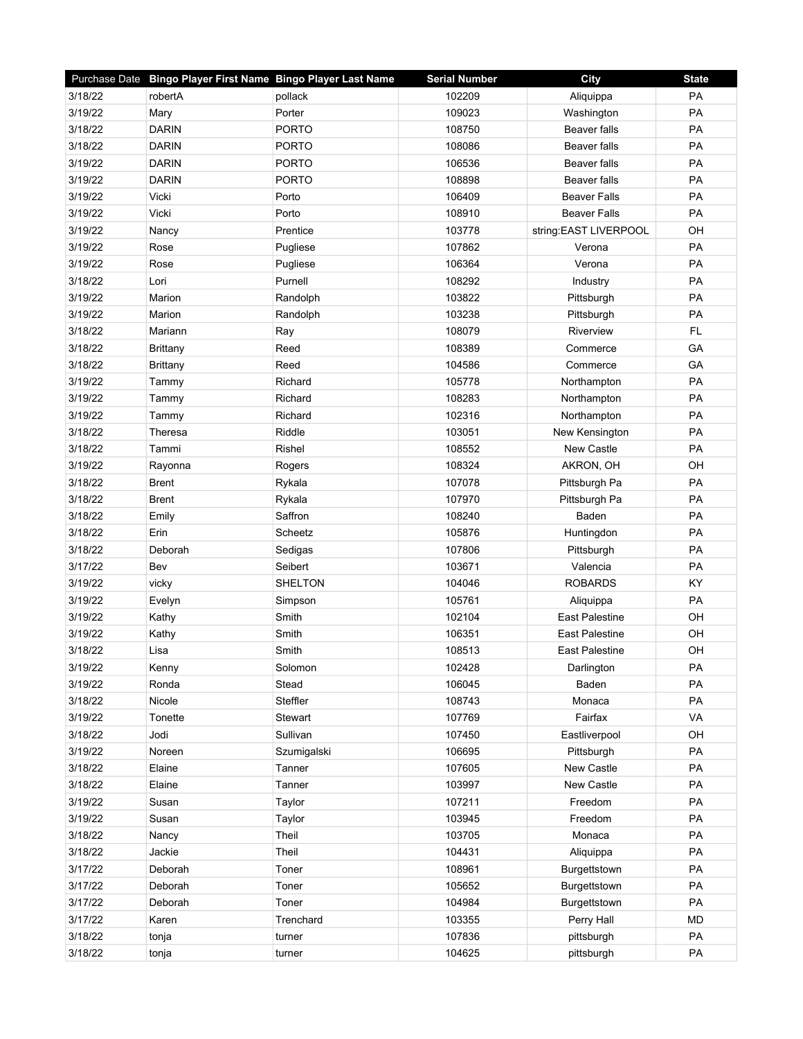|                            | Purchase Date Bingo Player First Name Bingo Player Last Name | <b>Serial Number</b> | City                  | <b>State</b> |
|----------------------------|--------------------------------------------------------------|----------------------|-----------------------|--------------|
| 3/18/22<br>robertA         | pollack                                                      | 102209               | Aliquippa             | PA           |
| 3/19/22<br>Mary            | Porter                                                       | 109023               | Washington            | PA           |
| 3/18/22<br><b>DARIN</b>    | <b>PORTO</b>                                                 | 108750               | <b>Beaver falls</b>   | PA           |
| 3/18/22<br><b>DARIN</b>    | <b>PORTO</b>                                                 | 108086               | Beaver falls          | PA           |
| 3/19/22<br><b>DARIN</b>    | <b>PORTO</b>                                                 | 106536               | Beaver falls          | PA           |
| 3/19/22<br><b>DARIN</b>    | <b>PORTO</b>                                                 | 108898               | Beaver falls          | PA           |
| 3/19/22<br>Vicki           | Porto                                                        | 106409               | <b>Beaver Falls</b>   | PA           |
| 3/19/22<br>Vicki           | Porto                                                        | 108910               | <b>Beaver Falls</b>   | PA           |
| 3/19/22<br>Nancy           | Prentice                                                     | 103778               | string:EAST LIVERPOOL | OH           |
| 3/19/22<br>Rose            | Pugliese                                                     | 107862               | Verona                | PA           |
| 3/19/22<br>Rose            | Pugliese                                                     | 106364               | Verona                | PA           |
| 3/18/22<br>Lori            | Purnell                                                      | 108292               | Industry              | PA           |
| 3/19/22<br>Marion          | Randolph                                                     | 103822               | Pittsburgh            | PA           |
| 3/19/22<br>Marion          | Randolph                                                     | 103238               | Pittsburgh            | PA           |
| 3/18/22<br>Mariann         | Ray                                                          | 108079               | Riverview             | FL           |
| 3/18/22<br><b>Brittany</b> | Reed                                                         | 108389               | Commerce              | GA           |
| 3/18/22<br><b>Brittany</b> | Reed                                                         | 104586               | Commerce              | GA           |
| 3/19/22<br>Tammy           | Richard                                                      | 105778               | Northampton           | PA           |
| 3/19/22<br>Tammy           | Richard                                                      | 108283               | Northampton           | <b>PA</b>    |
| 3/19/22<br>Tammy           | Richard                                                      | 102316               | Northampton           | PA           |
| 3/18/22<br><b>Theresa</b>  | Riddle                                                       | 103051               | New Kensington        | PA           |
| 3/18/22<br>Tammi           | Rishel                                                       | 108552               | New Castle            | PA           |
| 3/19/22<br>Rayonna         | Rogers                                                       | 108324               | AKRON, OH             | OH           |
| 3/18/22<br>Brent           | Rykala                                                       | 107078               | Pittsburgh Pa         | PA           |
| 3/18/22<br><b>Brent</b>    | Rykala                                                       | 107970               | Pittsburgh Pa         | PA           |
| 3/18/22<br>Emily           | Saffron                                                      | 108240               | Baden                 | PA           |
| 3/18/22<br>Erin            | Scheetz                                                      | 105876               | Huntingdon            | PA           |
| 3/18/22<br>Deborah         | Sedigas                                                      | 107806               | Pittsburgh            | PA           |
| 3/17/22<br>Bev             | Seibert                                                      | 103671               | Valencia              | PA           |
| 3/19/22<br>vicky           | <b>SHELTON</b>                                               | 104046               | <b>ROBARDS</b>        | KY           |
| 3/19/22<br>Evelyn          | Simpson                                                      | 105761               | Aliquippa             | PA           |
| 3/19/22<br>Kathy           | Smith                                                        | 102104               | <b>East Palestine</b> | OH           |
| 3/19/22<br>Kathy           | Smith                                                        | 106351               | <b>East Palestine</b> | OH           |
| 3/18/22<br>Lisa            | Smith                                                        | 108513               | <b>East Palestine</b> | OH           |
| 3/19/22<br>Kenny           | Solomon                                                      | 102428               | Darlington            | PA           |
| 3/19/22<br>Ronda           | Stead                                                        | 106045               | Baden                 | PA           |
| 3/18/22<br>Nicole          | Steffler                                                     | 108743               | Monaca                | PA           |
| 3/19/22<br>Tonette         | Stewart                                                      | 107769               | Fairfax               | VA           |
| 3/18/22<br>Jodi            | Sullivan                                                     | 107450               | Eastliverpool         | OH           |
| 3/19/22<br>Noreen          | Szumigalski                                                  | 106695               | Pittsburgh            | PA           |
| 3/18/22<br>Elaine          | Tanner                                                       | 107605               | New Castle            | PA           |
| 3/18/22<br>Elaine          | Tanner                                                       | 103997               | New Castle            | PA           |
| 3/19/22<br>Susan           | Taylor                                                       | 107211               | Freedom               | PA           |
| 3/19/22<br>Susan           | Taylor                                                       | 103945               | Freedom               | PA           |
| 3/18/22<br>Nancy           | Theil                                                        | 103705               | Monaca                | PA           |
| 3/18/22<br>Jackie          | Theil                                                        | 104431               | Aliquippa             | PA           |
| 3/17/22<br>Deborah         | Toner                                                        | 108961               | Burgettstown          | PA           |
| 3/17/22<br>Deborah         | Toner                                                        | 105652               | Burgettstown          | PA           |
| 3/17/22<br>Deborah         | Toner                                                        | 104984               | Burgettstown          | PA           |
| 3/17/22<br>Karen           | Trenchard                                                    | 103355               | Perry Hall            | <b>MD</b>    |
| 3/18/22<br>tonja           | turner                                                       | 107836               | pittsburgh            | PA           |
| 3/18/22<br>tonja           | turner                                                       | 104625               | pittsburgh            | PA           |